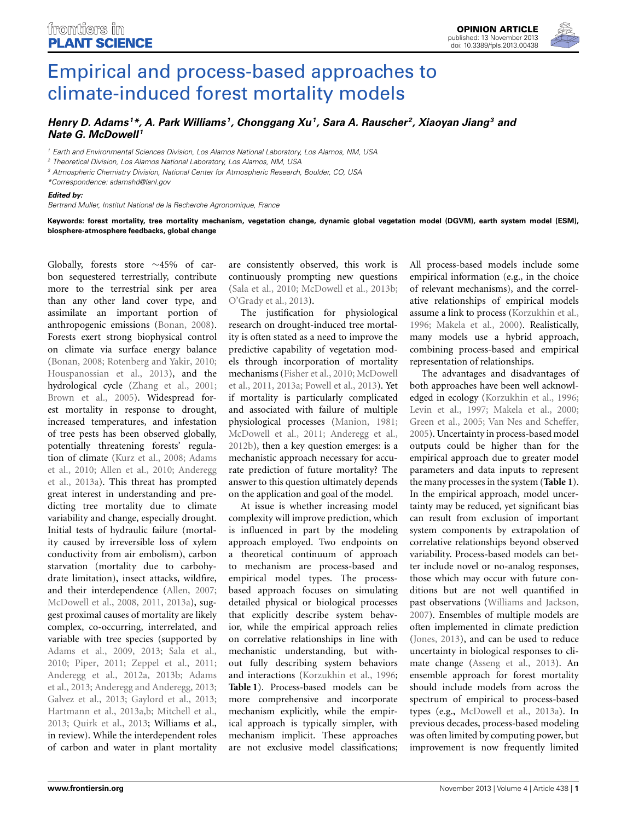

# <span id="page-0-0"></span>[Empirical and process-based approaches to](http://www.frontiersin.org/journal/10.3389/fpls.2013.00438/full) climate-induced forest mortality models

## *[Henry D. Adams](http://www.frontiersin.org/people/u/30899) <sup>1</sup> \*, [A. Park Williams](http://www.frontiersin.org/people/u/101448) 1, [Chonggang Xu1](http://www.frontiersin.org/people/u/106251), [Sara A. Rauscher](http://www.frontiersin.org/people/u/98657) 2, Xiaoyan Jiang3 and [Nate G. McDowell](http://www.frontiersin.org/people/u/46644) <sup>1</sup>*

*<sup>1</sup> Earth and Environmental Sciences Division, Los Alamos National Laboratory, Los Alamos, NM, USA*

*<sup>2</sup> Theoretical Division, Los Alamos National Laboratory, Los Alamos, NM, USA*

*<sup>3</sup> Atmospheric Chemistry Division, National Center for Atmospheric Research, Boulder, CO, USA*

*\*Correspondence: adamshd@lanl.gov*

#### *Edited by:*

*Bertrand Muller, Institut National de la Recherche Agronomique, France*

**Keywords: forest mortality, tree mortality mechanism, vegetation change, dynamic global vegetation model (DGVM), earth system model (ESM), biosphere-atmosphere feedbacks, global change**

Globally, forests store ∼45% of carbon sequestered terrestrially, contribute more to the terrestrial sink per area than any other land cover type, and assimilate an important portion of anthropogenic emissions [\(Bonan](#page-3-0), [2008](#page-3-0)). Forests exert strong biophysical control on climate via surface energy balance [\(Bonan, 2008;](#page-3-0) [Rotenberg and Yakir](#page-4-0), [2010;](#page-4-0) [Houspanossian et al., 2013](#page-3-1)), and the hydrological cycle [\(Zhang et al.](#page-4-1), [2001;](#page-4-1) [Brown et al., 2005](#page-3-2)). Widespread forest mortality in response to drought, increased temperatures, and infestation of tree pests has been observed globally, potentially threatening forests' regulation [of climate](#page-3-4) [\(Kurz et al.](#page-3-3)[,](#page-3-4) [2008](#page-3-3)[;](#page-3-4) Adams et al.[,](#page-3-6) [2010](#page-3-4)[;](#page-3-6) [Allen et al.](#page-3-5)[,](#page-3-6) [2010](#page-3-5)[;](#page-3-6) Anderegg et al., [2013a\)](#page-3-6). This threat has prompted great interest in understanding and predicting tree mortality due to climate variability and change, especially drought. Initial tests of hydraulic failure (mortality caused by irreversible loss of xylem conductivity from air embolism), carbon starvation (mortality due to carbohydrate limitation), insect attacks, wildfire, and their interdependence [\(Allen](#page-3-7), [2007;](#page-3-7) [McDowell et al.](#page-4-2), [2008,](#page-4-2) [2011](#page-4-3), [2013a\)](#page-4-4), suggest proximal causes of mortality are likely complex, co-occurring, interrelated, and variable with tree species (supported by [Adams et al.](#page-3-8), [2009,](#page-3-8) [2013](#page-3-9); [Sala et al.,](#page-4-5) [2010](#page-4-5); [Piper](#page-4-6), [2011](#page-4-6); [Zeppel et al., 2011;](#page-4-7) [Anderegg et al.](#page-3-10)[,](#page-3-9) [2012a](#page-3-10)[,](#page-3-9) [2013b](#page-3-11)[;](#page-3-9) Adams et al., [2013;](#page-3-9) [Anderegg and Anderegg, 2013;](#page-3-12) [Galvez et al.](#page-3-13), [2013;](#page-3-13) [Gaylord et al.](#page-3-14), [2013;](#page-3-14) [Hartmann et al.](#page-3-15), [2013a](#page-3-15)[,b;](#page-3-16) [Mitchell et al.,](#page-4-8) [2013](#page-4-8); [Quirk et al., 2013](#page-4-9); Williams et al., in review). While the interdependent roles of carbon and water in plant mortality

are consistently observed, this work is continuously prompting new questions [\(Sala et al., 2010](#page-4-5); [McDowell et al.](#page-4-10), [2013b;](#page-4-10) [O'Grady et al.](#page-4-11), [2013\)](#page-4-11).

The justification for physiological research on drought-induced tree mortality is often stated as a need to improve the predictive capability of vegetation models through incorporation of mortality mec[hanisms](#page-4-3) [\(Fisher et al.](#page-3-17)[,](#page-4-3) [2010;](#page-3-17) McDowell et al., [2011](#page-4-3), [2013a](#page-4-4); [Powell et al.](#page-4-12), [2013](#page-4-12)). Yet if mortality is particularly complicated and associated with failure of multiple physiological processes [\(Manion, 1981;](#page-4-13) [McDowell et al., 2011;](#page-4-3) [Anderegg et al.,](#page-3-18) [2012b](#page-3-18)), then a key question emerges: is a mechanistic approach necessary for accurate prediction of future mortality? The answer to this question ultimately depends on the application and goal of the model.

At issue is whether increasing model complexity will improve prediction, which is influenced in part by the modeling approach employed. Two endpoints on a theoretical continuum of approach to mechanism are process-based and empirical model types. The processbased approach focuses on simulating detailed physical or biological processes that explicitly describe system behavior, while the empirical approach relies on correlative relationships in line with mechanistic understanding, but without fully describing system behaviors and interactions [\(Korzukhin et al.](#page-3-19), [1996;](#page-3-19) **[Table 1](#page-0-0)**). Process-based models can be more comprehensive and incorporate mechanism explicitly, while the empirical approach is typically simpler, with mechanism implicit. These approaches are not exclusive model classifications;

All process-based models include some empirical information (e.g., in the choice of relevant mechanisms), and the correlative relationships of empirical models assume a link to process [\(Korzukhin et al.,](#page-3-19) [1996](#page-3-19); [Makela et al.](#page-3-20), [2000\)](#page-3-20). Realistically, many models use a hybrid approach, combining process-based and empirical representation of relationships.

The advantages and disadvantages of both approaches have been well acknowledged in ecology [\(Korzukhin et al., 1996;](#page-3-19) [Levin et al.](#page-3-21), [1997;](#page-3-21) [Makela et al.](#page-3-20), [2000;](#page-3-20) [Green et al., 2005](#page-3-22); [Van Nes and Scheffer,](#page-4-14) [2005](#page-4-14)). Uncertainty in process-based model outputs could be higher than for the empirical approach due to greater model parameters and data inputs to represent the many processes in the system (**[Table 1](#page-0-0)**). In the empirical approach, model uncertainty may be reduced, yet significant bias can result from exclusion of important system components by extrapolation of correlative relationships beyond observed variability. Process-based models can better include novel or no-analog responses, those which may occur with future conditions but are not well quantified in past observations [\(Williams and Jackson,](#page-4-15) [2007](#page-4-15)). Ensembles of multiple models are often implemented in climate prediction [\(Jones](#page-3-23), [2013\)](#page-3-23), and can be used to reduce uncertainty in biological responses to climate change [\(Asseng et al., 2013](#page-3-24)). An ensemble approach for forest mortality should include models from across the spectrum of empirical to process-based types (e.g., [McDowell et al., 2013a\)](#page-4-4). In previous decades, process-based modeling was often limited by computing power, but improvement is now frequently limited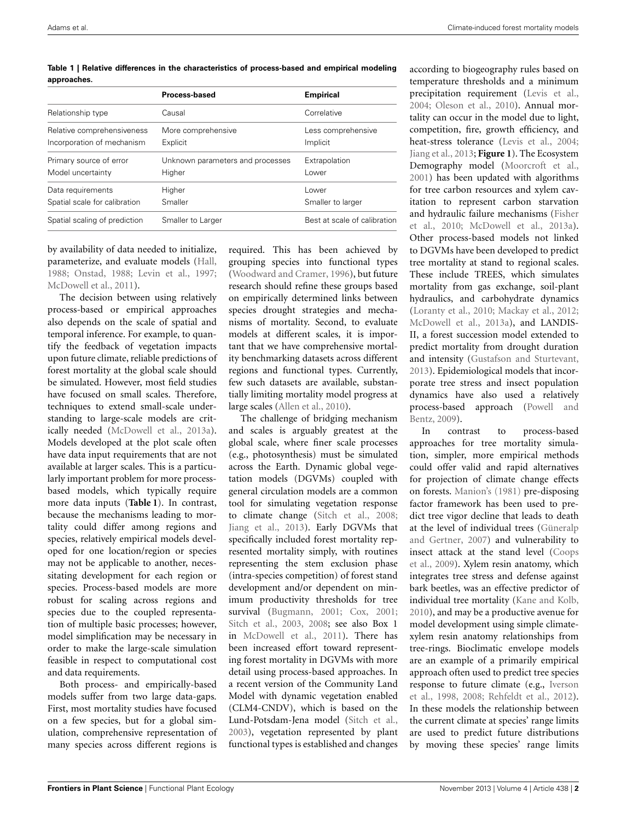| approaches.                |                    |                    |  |
|----------------------------|--------------------|--------------------|--|
|                            | Process-based      | <b>Empirical</b>   |  |
| Relationship type          | Causal             | Correlative        |  |
| Relative comprehensiveness | More comprehensive | Less comprehensive |  |

**Table 1 | Relative differences in the characteristics of process-based and empirical modeling**

| Relationship type             | Causal                           | Correlative                  |
|-------------------------------|----------------------------------|------------------------------|
| Relative comprehensiveness    | More comprehensive               | Less comprehensive           |
| Incorporation of mechanism    | Explicit                         | Implicit                     |
| Primary source of error       | Unknown parameters and processes | Extrapolation                |
| Model uncertainty             | Higher                           | Lower                        |
| Data requirements             | Higher                           | Lower                        |
| Spatial scale for calibration | Smaller                          | Smaller to larger            |
| Spatial scaling of prediction | Smaller to Larger                | Best at scale of calibration |

by availability of data needed to initialize, parameterize, and evaluate models [\(Hall,](#page-3-25) [1988](#page-3-25); [Onstad](#page-4-16), [1988;](#page-4-16) [Levin et al.](#page-3-21), [1997;](#page-3-21) [McDowell et al.](#page-4-3), [2011](#page-4-3)).

The decision between using relatively process-based or empirical approaches also depends on the scale of spatial and temporal inference. For example, to quantify the feedback of vegetation impacts upon future climate, reliable predictions of forest mortality at the global scale should be simulated. However, most field studies have focused on small scales. Therefore, techniques to extend small-scale understanding to large-scale models are critically needed [\(McDowell et al.](#page-4-4), [2013a](#page-4-4)). Models developed at the plot scale often have data input requirements that are not available at larger scales. This is a particularly important problem for more processbased models, which typically require more data inputs (**[Table 1](#page-0-0)**). In contrast, because the mechanisms leading to mortality could differ among regions and species, relatively empirical models developed for one location/region or species may not be applicable to another, necessitating development for each region or species. Process-based models are more robust for scaling across regions and species due to the coupled representation of multiple basic processes; however, model simplification may be necessary in order to make the large-scale simulation feasible in respect to computational cost and data requirements.

Both process- and empirically-based models suffer from two large data-gaps. First, most mortality studies have focused on a few species, but for a global simulation, comprehensive representation of many species across different regions is required. This has been achieved by grouping species into functional types [\(Woodward and Cramer, 1996](#page-4-17)), but future research should refine these groups based on empirically determined links between species drought strategies and mechanisms of mortality. Second, to evaluate models at different scales, it is important that we have comprehensive mortality benchmarking datasets across different regions and functional types. Currently, few such datasets are available, substantially limiting mortality model progress at large scales [\(Allen et al., 2010\)](#page-3-5).

The challenge of bridging mechanism and scales is arguably greatest at the global scale, where finer scale processes (e.g., photosynthesis) must be simulated across the Earth. Dynamic global vegetation models (DGVMs) coupled with general circulation models are a common tool for simulating vegetation response to climate change [\(Sitch et al., 2008](#page-4-18); [Jiang et al.](#page-3-26), [2013](#page-3-26)). Early DGVMs that specifically included forest mortality represented mortality simply, with routines representing the stem exclusion phase (intra-species competition) of forest stand development and/or dependent on minimum productivity thresholds for tree survival [\(Bugmann](#page-3-27), [2001;](#page-3-27) [Cox, 2001](#page-3-28); [Sitch et al.](#page-4-19), [2003](#page-4-19), [2008](#page-4-18); see also Box 1 in [McDowell et al.](#page-4-3), [2011\)](#page-4-3). There has been increased effort toward representing forest mortality in DGVMs with more detail using process-based approaches. In a recent version of the Community Land Model with dynamic vegetation enabled (CLM4-CNDV), which is based on the Lund-Potsdam-Jena model [\(Sitch et al.](#page-4-19), [2003](#page-4-19)), vegetation represented by plant functional types is established and changes according to biogeography rules based on temperature thresholds and a minimum precipitation requirement [\(Levis et al.](#page-3-29), [2004](#page-3-29); [Oleson et al.](#page-4-20), [2010\)](#page-4-20). Annual mortality can occur in the model due to light, competition, fire, growth efficiency, and heat-stress tolerance [\(Levis et al.](#page-3-29), [2004](#page-3-29); [Jiang et al., 2013;](#page-3-26) **[Figure 1](#page-2-0)**). The Ecosystem Demography model [\(Moorcroft et al.](#page-4-21), [2001](#page-4-21)) has been updated with algorithms for tree carbon resources and xylem cavitation to represent carbon starvation and [hydraulic](#page-3-17) [failure](#page-3-17) [mechanisms](#page-3-17) [\(](#page-3-17)Fisher et al., [2010;](#page-3-17) [McDowell et al.](#page-4-4), [2013a\)](#page-4-4). Other process-based models not linked to DGVMs have been developed to predict tree mortality at stand to regional scales. These include TREES, which simulates mortality from gas exchange, soil-plant hydraulics, and carbohydrate dynamics [\(Loranty et al.](#page-3-30), [2010;](#page-3-30) [Mackay et al., 2012](#page-4-22); [McDowell et al., 2013a](#page-4-4)), and LANDIS-II, a forest succession model extended to predict mortality from drought duration and intensity [\(Gustafson and Sturtevant](#page-3-31), [2013](#page-3-31)). Epidemiological models that incorporate tree stress and insect population dynamics have also used a relatively proce[ss-based approach \(](#page-4-23)Powell and Bentz, [2009](#page-4-23)).

In contrast to process-based approaches for tree mortality simulation, simpler, more empirical methods could offer valid and rapid alternatives for projection of climate change effects on forests. [Manion's](#page-4-13) [\(1981](#page-4-13)) pre-disposing factor framework has been used to predict tree vigor decline that leads to death at the level [of](#page-3-32) [individual](#page-3-32) [trees](#page-3-32) [\(](#page-3-32)Güneralp and Gertner, [2007\)](#page-3-32) and vulnerability to inse[ct](#page-3-33) [attack](#page-3-33) [at](#page-3-33) [the](#page-3-33) [stand](#page-3-33) [level](#page-3-33) [\(](#page-3-33)Coops et al., [2009](#page-3-33)). Xylem resin anatomy, which integrates tree stress and defense against bark beetles, was an effective predictor of individual tree mortality [\(Kane and Kolb](#page-3-34), [2010](#page-3-34)), and may be a productive avenue for model development using simple climatexylem resin anatomy relationships from tree-rings. Bioclimatic envelope models are an example of a primarily empirical approach often used to predict tree species resp[onse](#page-3-35) [to](#page-3-35) [future](#page-3-35) [climate](#page-3-35) [\(e.g.,](#page-3-35) Iverson et al., [1998](#page-3-35), [2008;](#page-3-36) [Rehfeldt et al.](#page-4-24), [2012\)](#page-4-24). In these models the relationship between the current climate at species' range limits are used to predict future distributions by moving these species' range limits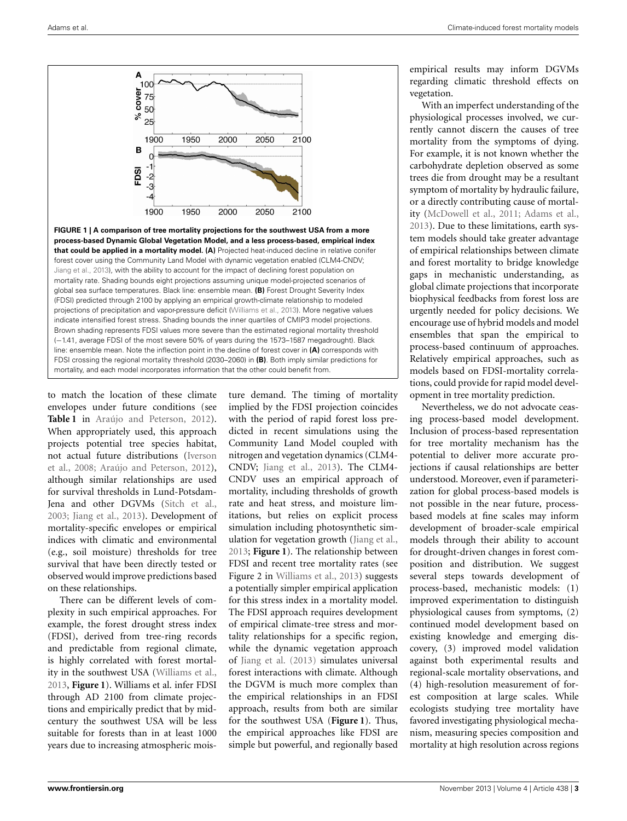

<span id="page-2-0"></span>**FIGURE 1 | A comparison of tree mortality projections for the southwest USA from a more process-based Dynamic Global Vegetation Model, and a less process-based, empirical index that could be applied in a mortality model. (A)** Projected heat-induced decline in relative conifer forest cover using the Community Land Model with dynamic vegetation enabled (CLM4-CNDV; [Jiang et al., 2013](#page-3-26)), with the ability to account for the impact of declining forest population on mortality rate. Shading bounds eight projections assuming unique model-projected scenarios of global sea surface temperatures. Black line: ensemble mean. **(B)** Forest Drought Severity Index (FDSI) predicted through 2100 by applying an empirical growth-climate relationship to modeled projections of precipitation and vapor-pressure deficit [\(Williams et al.](#page-4-25), [2013\)](#page-4-25). More negative values indicate intensified forest stress. Shading bounds the inner quartiles of CMIP3 model projections. Brown shading represents FDSI values more severe than the estimated regional mortality threshold (−1.41, average FDSI of the most severe 50% of years during the 1573–1587 megadrought). Black line: ensemble mean. Note the inflection point in the decline of forest cover in **(A)** corresponds with FDSI crossing the regional mortality threshold (2030–2060) in **(B)**. Both imply similar predictions for mortality, and each model incorporates information that the other could benefit from.

to match the location of these climate envelopes under future conditions (see **[Table 1](#page-0-0)** in [Araújo and Peterson](#page-3-37), [2012](#page-3-37)). When appropriately used, this approach projects potential tree species habitat, not [actual future distributions \(](#page-3-36)Iverson et al., [2008;](#page-3-36) [Araújo and Peterson, 2012](#page-3-37)), although similar relationships are used for survival thresholds in Lund-Potsdam-Jena and other DGVMs [\(Sitch et al.,](#page-4-19) [2003](#page-4-19); [Jiang et al., 2013](#page-3-26)). Development of mortality-specific envelopes or empirical indices with climatic and environmental (e.g., soil moisture) thresholds for tree survival that have been directly tested or observed would improve predictions based on these relationships.

There can be different levels of complexity in such empirical approaches. For example, the forest drought stress index (FDSI), derived from tree-ring records and predictable from regional climate, is highly correlated with forest mortality in the southwest USA [\(Williams et al.,](#page-4-25) [2013](#page-4-25), **[Figure 1](#page-2-0)**). Williams et al. infer FDSI through AD 2100 from climate projections and empirically predict that by midcentury the southwest USA will be less suitable for forests than in at least 1000 years due to increasing atmospheric moisture demand. The timing of mortality implied by the FDSI projection coincides with the period of rapid forest loss predicted in recent simulations using the Community Land Model coupled with nitrogen and vegetation dynamics (CLM4- CNDV; [Jiang et al., 2013\)](#page-3-26). The CLM4- CNDV uses an empirical approach of mortality, including thresholds of growth rate and heat stress, and moisture limitations, but relies on explicit process simulation including photosynthetic simulation for vegetation growth [\(Jiang et al.,](#page-3-26) [2013](#page-3-26); **[Figure 1](#page-2-0)**). The relationship between FDSI and recent tree mortality rates (see Figure 2 in [Williams et al.](#page-4-25), [2013\)](#page-4-25) suggests a potentially simpler empirical application for this stress index in a mortality model. The FDSI approach requires development of empirical climate-tree stress and mortality relationships for a specific region, while the dynamic vegetation approach of [Jiang et al.](#page-3-26) [\(2013\)](#page-3-26) simulates universal forest interactions with climate. Although the DGVM is much more complex than the empirical relationships in an FDSI approach, results from both are similar for the southwest USA (**[Figure 1](#page-2-0)**). Thus, the empirical approaches like FDSI are simple but powerful, and regionally based

empirical results may inform DGVMs regarding climatic threshold effects on vegetation.

With an imperfect understanding of the physiological processes involved, we currently cannot discern the causes of tree mortality from the symptoms of dying. For example, it is not known whether the carbohydrate depletion observed as some trees die from drought may be a resultant symptom of mortality by hydraulic failure, or a directly contributing cause of mortality [\(McDowell et al.](#page-4-3), [2011](#page-4-3); [Adams et al.,](#page-3-9) [2013](#page-3-9)). Due to these limitations, earth system models should take greater advantage of empirical relationships between climate and forest mortality to bridge knowledge gaps in mechanistic understanding, as global climate projections that incorporate biophysical feedbacks from forest loss are urgently needed for policy decisions. We encourage use of hybrid models and model ensembles that span the empirical to process-based continuum of approaches. Relatively empirical approaches, such as models based on FDSI-mortality correlations, could provide for rapid model development in tree mortality prediction.

Nevertheless, we do not advocate ceasing process-based model development. Inclusion of process-based representation for tree mortality mechanism has the potential to deliver more accurate projections if causal relationships are better understood. Moreover, even if parameterization for global process-based models is not possible in the near future, processbased models at fine scales may inform development of broader-scale empirical models through their ability to account for drought-driven changes in forest composition and distribution. We suggest several steps towards development of process-based, mechanistic models: (1) improved experimentation to distinguish physiological causes from symptoms, (2) continued model development based on existing knowledge and emerging discovery, (3) improved model validation against both experimental results and regional-scale mortality observations, and (4) high-resolution measurement of forest composition at large scales. While ecologists studying tree mortality have favored investigating physiological mechanism, measuring species composition and mortality at high resolution across regions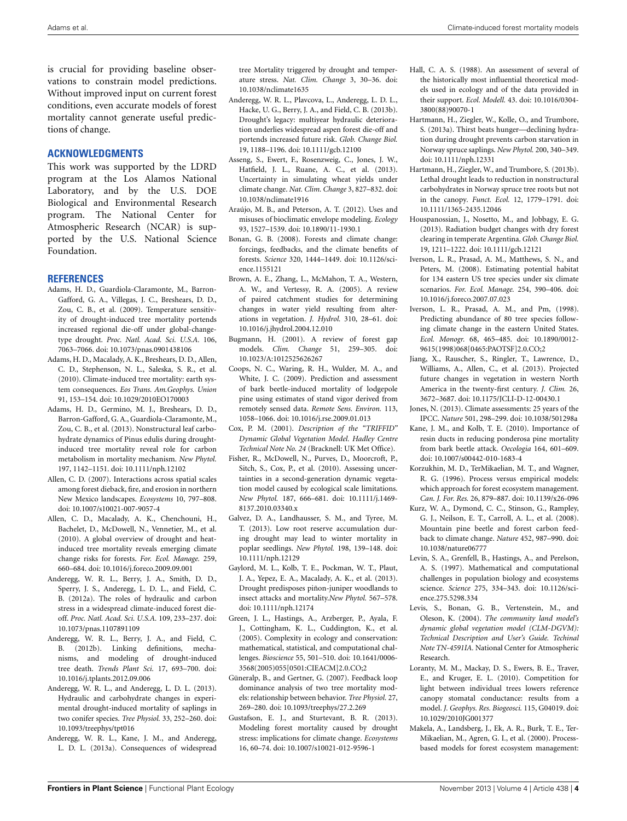is crucial for providing baseline observations to constrain model predictions. Without improved input on current forest conditions, even accurate models of forest mortality cannot generate useful predictions of change.

### **ACKNOWLEDGMENTS**

This work was supported by the LDRD program at the Los Alamos National Laboratory, and by the U.S. DOE Biological and Environmental Research program. The National Center for Atmospheric Research (NCAR) is supported by the U.S. National Science Foundation.

#### **REFERENCES**

- <span id="page-3-8"></span>Adams, H. D., Guardiola-Claramonte, M., Barron-Gafford, G. A., Villegas, J. C., Breshears, D. D., Zou, C. B., et al. (2009). Temperature sensitivity of drought-induced tree mortality portends increased regional die-off under global-changetype drought. *Proc. Natl. Acad. Sci. U.S.A.* 106, 7063–7066. doi: 10.1073/pnas.0901438106
- <span id="page-3-4"></span>Adams, H. D., Macalady, A. K., Breshears, D. D., Allen, C. D., Stephenson, N. L., Saleska, S. R., et al. (2010). Climate-induced tree mortality: earth system consequences. *Eos Trans. Am.Geophys. Union* 91, 153–154. doi: 10.1029/2010EO170003
- <span id="page-3-9"></span>Adams, H. D., Germino, M. J., Breshears, D. D., Barron-Gafford, G. A., Guardiola-Claramonte, M., Zou, C. B., et al. (2013). Nonstructural leaf carbohydrate dynamics of Pinus edulis during droughtinduced tree mortality reveal role for carbon metabolism in mortality mechanism. *New Phytol.* 197, 1142–1151. doi: 10.1111/nph.12102
- <span id="page-3-7"></span>Allen, C. D. (2007). Interactions across spatial scales among forest dieback, fire, and erosion in northern New Mexico landscapes. *Ecosystems* 10, 797–808. doi: 10.1007/s10021-007-9057-4
- <span id="page-3-5"></span>Allen, C. D., Macalady, A. K., Chenchouni, H., Bachelet, D., McDowell, N., Vennetier, M., et al. (2010). A global overview of drought and heatinduced tree mortality reveals emerging climate change risks for forests. *For. Ecol. Manage.* 259, 660–684. doi: 10.1016/j.foreco.2009.09.001
- <span id="page-3-10"></span>Anderegg, W. R. L., Berry, J. A., Smith, D. D., Sperry, J. S., Anderegg, L. D. L., and Field, C. B. (2012a). The roles of hydraulic and carbon stress in a widespread climate-induced forest dieoff. *Proc. Natl. Acad. Sci. U.S.A.* 109, 233–237. doi: 10.1073/pnas.1107891109
- <span id="page-3-18"></span>Anderegg, W. R. L., Berry, J. A., and Field, C. B. (2012b). Linking definitions, mechanisms, and modeling of drought-induced tree death. *Trends Plant Sci.* 17, 693–700. doi: 10.1016/j.tplants.2012.09.006
- <span id="page-3-12"></span>Anderegg, W. R. L., and Anderegg, L. D. L. (2013). Hydraulic and carbohydrate changes in experimental drought-induced mortality of saplings in two conifer species. *Tree Physiol.* 33, 252–260. doi: 10.1093/treephys/tpt016
- <span id="page-3-6"></span>Anderegg, W. R. L., Kane, J. M., and Anderegg, L. D. L. (2013a). Consequences of widespread

tree Mortality triggered by drought and temperature stress. *Nat. Clim. Change* 3, 30–36. doi: 10.1038/nclimate1635

- <span id="page-3-11"></span>Anderegg, W. R. L., Plavcova, L., Anderegg, L. D. L., Hacke, U. G., Berry, J. A., and Field, C. B. (2013b). Drought's legacy: multiyear hydraulic deterioration underlies widespread aspen forest die-off and portends increased future risk. *Glob. Change Biol.* 19, 1188–1196. doi: 10.1111/gcb.12100
- <span id="page-3-24"></span>Asseng, S., Ewert, F., Rosenzweig, C., Jones, J. W., Hatfield, J. L., Ruane, A. C., et al. (2013). Uncertainty in simulating wheat yields under climate change. *Nat. Clim. Change* 3, 827–832. doi: 10.1038/nclimate1916
- <span id="page-3-37"></span>Araújo, M. B., and Peterson, A. T. (2012). Uses and misuses of bioclimatic envelope modeling. *Ecology* 93, 1527–1539. doi: 10.1890/11-1930.1
- <span id="page-3-0"></span>Bonan, G. B. (2008). Forests and climate change: forcings, feedbacks, and the climate benefits of forests. *Science* 320, 1444–1449. doi: 10.1126/science.1155121
- <span id="page-3-2"></span>Brown, A. E., Zhang, L., McMahon, T. A., Western, A. W., and Vertessy, R. A. (2005). A review of paired catchment studies for determining changes in water yield resulting from alterations in vegetation. *J. Hydrol.* 310, 28–61. doi: 10.1016/j.jhydrol.2004.12.010
- <span id="page-3-27"></span>Bugmann, H. (2001). A review of forest gap models. *Clim. Change* 51, 259–305. doi: 10.1023/A:1012525626267
- <span id="page-3-33"></span>Coops, N. C., Waring, R. H., Wulder, M. A., and White, J. C. (2009). Prediction and assessment of bark beetle-induced mortality of lodgepole pine using estimates of stand vigor derived from remotely sensed data. *Remote Sens. Environ.* 113, 1058–1066. doi: 10.1016/j.rse.2009.01.013
- <span id="page-3-28"></span>Cox, P. M. (2001). *Description of the "TRIFFID" Dynamic Global Vegetation Model. Hadley Centre Technical Note No. 24* (Bracknell: UK Met Office).
- <span id="page-3-17"></span>Fisher, R., McDowell, N., Purves, D., Moorcroft, P., Sitch, S., Cox, P., et al. (2010). Assessing uncertainties in a second-generation dynamic vegetation model caused by ecological scale limitations. *New Phytol.* 187, 666–681. doi: 10.1111/j.1469- 8137.2010.03340.x
- <span id="page-3-13"></span>Galvez, D. A., Landhausser, S. M., and Tyree, M. T. (2013). Low root reserve accumulation during drought may lead to winter mortality in poplar seedlings. *New Phytol.* 198, 139–148. doi: 10.1111/nph.12129
- <span id="page-3-14"></span>Gaylord, M. L., Kolb, T. E., Pockman, W. T., Plaut, J. A., Yepez, E. A., Macalady, A. K., et al. (2013). Drought predisposes piñon-juniper woodlands to insect attacks and mortality.*New Phytol.* 567–578. doi: 10.1111/nph.12174
- <span id="page-3-22"></span>Green, J. L., Hastings, A., Arzberger, P., Ayala, F. J., Cottingham, K. L., Cuddington, K., et al. (2005). Complexity in ecology and conservation: mathematical, statistical, and computational challenges. *Bioscience* 55, 501–510. doi: 10.1641/0006- 3568(2005)055[0501:CIEACM]2.0.CO;2
- <span id="page-3-32"></span>Güneralp, B., and Gertner, G. (2007). Feedback loop dominance analysis of two tree mortality models: relationship between behavior. *Tree Physiol.* 27, 269–280. doi: 10.1093/treephys/27.2.269
- <span id="page-3-31"></span>Gustafson, E. J., and Sturtevant, B. R. (2013). Modeling forest mortality caused by drought stress: implications for climate change. *Ecosystems* 16, 60–74. doi: 10.1007/s10021-012-9596-1
- <span id="page-3-25"></span>Hall, C. A. S. (1988). An assessment of several of the historically most influential theoretical models used in ecology and of the data provided in their support. *Ecol. Modell.* 43. doi: 10.1016/0304- 3800(88)90070-1
- <span id="page-3-15"></span>Hartmann, H., Ziegler, W., Kolle, O., and Trumbore, S. (2013a). Thirst beats hunger—declining hydration during drought prevents carbon starvation in Norway spruce saplings*. New Phytol.* 200, 340–349. doi: 10.1111/nph.12331
- <span id="page-3-16"></span>Hartmann, H., Ziegler, W., and Trumbore, S. (2013b). Lethal drought leads to reduction in nonstructural carbohydrates in Norway spruce tree roots but not in the canopy*. Funct. Ecol.* 12, 1779–1791. doi: 10.1111/1365-2435.12046
- <span id="page-3-1"></span>Houspanossian, J., Nosetto, M., and Jobbagy, E. G. (2013). Radiation budget changes with dry forest clearing in temperate Argentina. *Glob. Change Biol.* 19, 1211–1222. doi: 10.1111/gcb.12121
- <span id="page-3-36"></span>Iverson, L. R., Prasad, A. M., Matthews, S. N., and Peters, M. (2008). Estimating potential habitat for 134 eastern US tree species under six climate scenarios. *For. Ecol. Manage.* 254, 390–406. doi: 10.1016/j.foreco.2007.07.023
- <span id="page-3-35"></span>Iverson, L. R., Prasad, A. M., and Pm, (1998). Predicting abundance of 80 tree species following climate change in the eastern United States. *Ecol. Monogr.* 68, 465–485. doi: 10.1890/0012- 9615(1998)068[0465:PAOTSF]2.0.CO;2
- <span id="page-3-26"></span>Jiang, X., Rauscher, S., Ringler, T., Lawrence, D., Williams, A., Allen, C., et al. (2013). Projected future changes in vegetation in western North America in the twenty-first century. *J. Clim.* 26, 3672–3687. doi: 10.1175/JCLI-D-12-00430.1
- <span id="page-3-23"></span>Jones, N. (2013). Climate assessments: 25 years of the IPCC. *Nature* 501, 298–299. doi: 10.1038/501298a
- <span id="page-3-34"></span>Kane, J. M., and Kolb, T. E. (2010). Importance of resin ducts in reducing ponderosa pine mortality from bark beetle attack. *Oecologia* 164, 601–609. doi: 10.1007/s00442-010-1683-4
- <span id="page-3-19"></span>Korzukhin, M. D., TerMikaelian, M. T., and Wagner, R. G. (1996). Process versus empirical models: which approach for forest ecosystem management. *Can. J. For. Res.* 26, 879–887. doi: 10.1139/x26-096
- <span id="page-3-3"></span>Kurz, W. A., Dymond, C. C., Stinson, G., Rampley, G. J., Neilson, E. T., Carroll, A. L., et al. (2008). Mountain pine beetle and forest carbon feedback to climate change. *Nature* 452, 987–990. doi: 10.1038/nature06777
- <span id="page-3-21"></span>Levin, S. A., Grenfell, B., Hastings, A., and Perelson, A. S. (1997). Mathematical and computational challenges in population biology and ecosystems science. *Science* 275, 334–343. doi: 10.1126/science.275.5298.334
- <span id="page-3-29"></span>Levis, S., Bonan, G. B., Vertenstein, M., and Oleson, K. (2004). *The community land model's dynamic global vegetation model (CLM-DGVM): Technical Description and User's Guide. Techinal Note TN-4591IA.* National Center for Atmospheric Research.
- <span id="page-3-30"></span>Loranty, M. M., Mackay, D. S., Ewers, B. E., Traver, E., and Kruger, E. L. (2010). Competition for light between individual trees lowers reference canopy stomatal conductance: results from a model. *J. Geophys. Res. Biogeosci.* 115, G04019. doi: 10.1029/2010JG001377
- <span id="page-3-20"></span>Makela, A., Landsberg, J., Ek, A. R., Burk, T. E., Ter-Mikaelian, M., Agren, G. I., et al. (2000). Processbased models for forest ecosystem management: